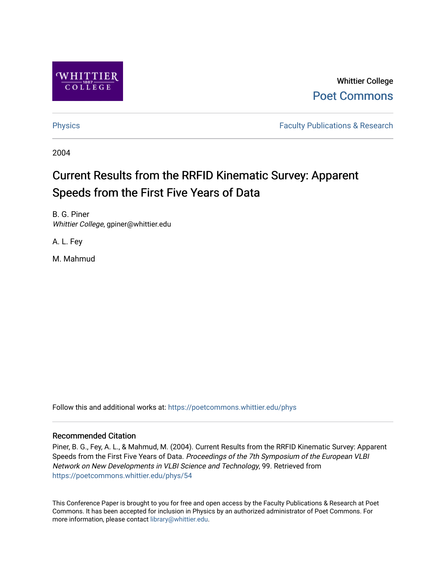

Whittier College [Poet Commons](https://poetcommons.whittier.edu/) 

[Physics](https://poetcommons.whittier.edu/phys) **Faculty Publications & Research Physics Faculty Publications & Research** 

2004

# Current Results from the RRFID Kinematic Survey: Apparent Speeds from the First Five Years of Data

B. G. Piner Whittier College, gpiner@whittier.edu

A. L. Fey

M. Mahmud

Follow this and additional works at: [https://poetcommons.whittier.edu/phys](https://poetcommons.whittier.edu/phys?utm_source=poetcommons.whittier.edu%2Fphys%2F54&utm_medium=PDF&utm_campaign=PDFCoverPages)

### Recommended Citation

Piner, B. G., Fey, A. L., & Mahmud, M. (2004). Current Results from the RRFID Kinematic Survey: Apparent Speeds from the First Five Years of Data. Proceedings of the 7th Symposium of the European VLBI Network on New Developments in VLBI Science and Technology, 99. Retrieved from [https://poetcommons.whittier.edu/phys/54](https://poetcommons.whittier.edu/phys/54?utm_source=poetcommons.whittier.edu%2Fphys%2F54&utm_medium=PDF&utm_campaign=PDFCoverPages) 

This Conference Paper is brought to you for free and open access by the Faculty Publications & Research at Poet Commons. It has been accepted for inclusion in Physics by an authorized administrator of Poet Commons. For more information, please contact [library@whittier.edu.](mailto:library@whittier.edu)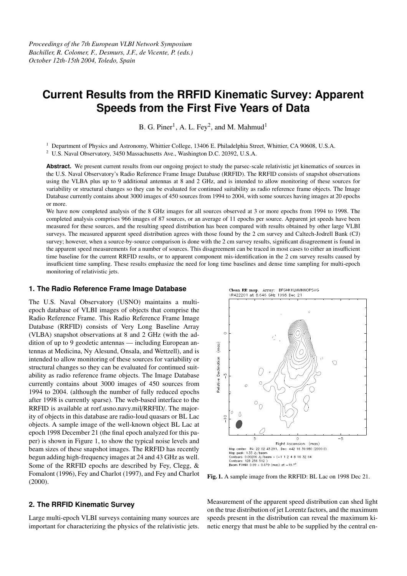## **Current Results from the RRFID Kinematic Survey: Apparent Speeds from the First Five Years of Data**

B. G. Piner<sup>1</sup>, A. L. Fey<sup>2</sup>, and M. Mahmud<sup>1</sup>

<sup>1</sup> Department of Physics and Astronomy, Whittier College, 13406 E. Philadelphia Street, Whittier, CA 90608, U.S.A.

<sup>2</sup> U.S. Naval Observatory, 3450 Massachusetts Ave., Washington D.C. 20392, U.S.A.

Abstract. We present current results from our ongoing project to study the parsec-scale relativistic jet kinematics of sources in the U.S. Naval Observatory's Radio Reference Frame Image Database (RRFID). The RRFID consists of snapshot observations using the VLBA plus up to 9 additional antennas at 8 and 2 GHz, and is intended to allow monitoring of these sources for variability or structural changes so they can be evaluated for continued suitability as radio reference frame objects. The Image Database currently contains about 3000 images of 450 sources from 1994 to 2004, with some sources having images at 20 epochs or more.

We have now completed analysis of the 8 GHz images for all sources observed at 3 or more epochs from 1994 to 1998. The completed analysis comprises 966 images of 87 sources, or an average of 11 epochs per source. Apparent jet speeds have been measured for these sources, and the resulting speed distribution has been compared with results obtained by other large VLBI surveys. The measured apparent speed distribution agrees with those found by the 2 cm survey and Caltech-Jodrell Bank (CJ) survey; however, when a source-by-source comparison is done with the 2 cm survey results, significant disagreement is found in the apparent speed measurements for a number of sources. This disagreement can be traced in most cases to either an insufficient time baseline for the current RRFID results, or to apparent component mis-identification in the 2 cm survey results caused by insufficient time sampling. These results emphasize the need for long time baselines and dense time sampling for multi-epoch monitoring of relativistic jets.

#### **1. The Radio Reference Frame Image Database**

The U.S. Naval Observatory (USNO) maintains a multiepoch database of VLBI images of objects that comprise the Radio Reference Frame. This Radio Reference Frame Image Database (RRFID) consists of Very Long Baseline Array (VLBA) snapshot observations at 8 and 2 GHz (with the addition of up to 9 geodetic antennas — including European antennas at Medicina, Ny Alesund, Onsala, and Wettzell), and is intended to allow monitoring of these sources for variability or structural changes so they can be evaluated for continued suitability as radio reference frame objects. The Image Database currently contains about 3000 images of 450 sources from 1994 to 2004. (although the number of fully reduced epochs after 1998 is currently sparse). The web-based interface to the RRFID is available at rorf.usno.navy.mil/RRFID/. The majority of objects in this database are radio-loud quasars or BL Lac objects. A sample image of the well-known object BL Lac at epoch 1998 December 21 (the final epoch analyzed for this paper) is shown in Figure 1, to show the typical noise levels and beam sizes of these snapshot images. The RRFID has recently begun adding high-frequency images at 24 and 43 GHz as well. Some of the RRFID epochs are described by Fey, Clegg, & Fomalont (1996), Fey and Charlot (1997), and Fey and Charlot (2000).

#### **2. The RRFID Kinematic Survey**

Large multi-epoch VLBI surveys containing many sources are important for characterizing the physics of the relativistic jets.



**Fig. 1.** A sample image from the RRFID: BL Lac on 1998 Dec 21.

Measurement of the apparent speed distribution can shed light on the true distribution of jet Lorentz factors, and the maximum speeds present in the distribution can reveal the maximum kinetic energy that must be able to be supplied by the central en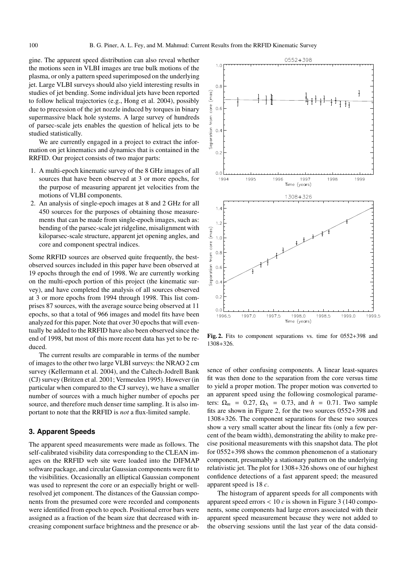gine. The apparent speed distribution can also reveal whether the motions seen in VLBI images are true bulk motions of the plasma, or only a pattern speed superimposed on the underlying jet. Large VLBI surveys should also yield interesting results in studies of jet bending. Some individual jets have been reported to follow helical trajectories (e.g., Hong et al. 2004), possibly due to precession of the jet nozzle induced by torques in binary supermassive black hole systems. A large survey of hundreds of parsec-scale jets enables the question of helical jets to be studied statistically.

We are currently engaged in a project to extract the information on jet kinematics and dynamics that is contained in the RRFID. Our project consists of two major parts:

- 1. A multi-epoch kinematic survey of the 8 GHz images of all sources that have been observed at 3 or more epochs, for the purpose of measuring apparent jet velocities from the motions of VLBI components.
- 2. An analysis of single-epoch images at 8 and 2 GHz for all 450 sources for the purposes of obtaining those measurements that can be made from single-epoch images, such as: bending of the parsec-scale jet ridgeline, misalignment with kiloparsec-scale structure, apparent jet opening angles, and core and component spectral indices.

Some RRFID sources are observed quite frequently, the bestobserved sources included in this paper have been observed at 19 epochs through the end of 1998. We are currently working on the multi-epoch portion of this project (the kinematic survey), and have completed the analysis of all sources observed at 3 or more epochs from 1994 through 1998. This list comprises 87 sources, with the average source being observed at 11 epochs, so that a total of 966 images and model fits have been analyzed for this paper. Note that over 30 epochs that will eventually be added to the RRFID have also been observed since the end of 1998, but most of this more recent data has yet to be reduced.

The current results are comparable in terms of the number of images to the other two large VLBI surveys: the NRAO 2 cm survey (Kellermann et al. 2004), and the Caltech-Jodrell Bank (CJ) survey (Britzen et al. 2001; Vermeulen 1995). However (in particular when compared to the CJ survey), we have a smaller number of sources with a much higher number of epochs per source, and therefore much denser time sampling. It is also important to note that the RRFID is *not* a flux-limited sample.

#### **3. Apparent Speeds**

The apparent speed measurements were made as follows. The self-calibrated visibility data corresponding to the CLEAN images on the RRFID web site were loaded into the DIFMAP software package, and circular Gaussian components were fit to the visibilities. Occasionally an elliptical Gaussian component was used to represent the core or an especially bright or wellresolved jet component. The distances of the Gaussian components from the presumed core were recorded and components were identified from epoch to epoch. Positional error bars were assigned as a fraction of the beam size that decreased with increasing component surface brightness and the presence or ab-



**Fig. 2.** Fits to component separations vs. time for 0552+398 and 1308+326.

sence of other confusing components. A linear least-squares fit was then done to the separation from the core versus time to yield a proper motion. The proper motion was converted to an apparent speed using the following cosmological parameters:  $\Omega_m = 0.27$ ,  $\Omega_{\Lambda} = 0.73$ , and  $h = 0.71$ . Two sample fits are shown in Figure 2, for the two sources 0552+398 and 1308+326. The component separations for these two sources show a very small scatter about the linear fits (only a few percent of the beam width), demonstrating the ability to make precise positional measurements with this snapshot data. The plot for 0552+398 shows the common phenomenon of a stationary component, presumably a stationary pattern on the underlying relativistic jet. The plot for 1308+326 shows one of our highest confidence detections of a fast apparent speed; the measured apparent speed is 18 *c*.

The histogram of apparent speeds for all components with apparent speed errors < 10 *c* is shown in Figure 3 (140 components, some components had large errors associated with their apparent speed measurement because they were not added to the observing sessions until the last year of the data consid-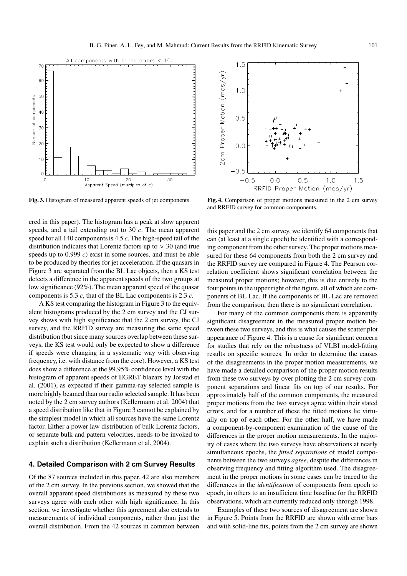

**Fig. 3.** Histogram of measured apparent speeds of jet components.

ered in this paper). The histogram has a peak at slow apparent speeds, and a tail extending out to 30 *c*. The mean apparent speed for all 140 componentsis 4.5 *c*. The high-speed tail of the distribution indicates that Lorentz factors up to  $\approx 30$  (and true speeds up to 0.999 *c*) exist in some sources, and must be able to be produced by theories for jet acceleration. If the quasars in Figure 3 are separated from the BL Lac objects, then a KS test detects a difference in the apparent speeds of the two groups at low significance (92%). The mean apparent speed of the quasar components is 5.3 *c*, that of the BL Lac components is 2.3 *c*.

A KS test comparing the histogram in Figure 3 to the equivalent histograms produced by the 2 cm survey and the CJ survey shows with high significance that the 2 cm survey, the CJ survey, and the RRFID survey are measuring the same speed distribution (but since many sources overlap between these surveys, the KS test would only be expected to show a difference if speeds were changing in a systematic way with observing frequency, i.e. with distance from the core). However, a KS test does show a difference at the 99.95% confidence level with the histogram of apparent speeds of EGRET blazars by Jorstad et al. (2001), as expected if their gamma-ray selected sample is more highly beamed than our radio selected sample. It has been noted by the 2 cm survey authors (Kellermann et al. 2004) that a speed distribution like that in Figure 3 cannot be explained by the simplest model in which all sources have the same Lorentz factor. Either a power law distribution of bulk Lorentz factors, or separate bulk and pattern velocities, needs to be invoked to explain such a distribution (Kellermann et al. 2004).

#### **4. Detailed Comparison with 2 cm Survey Results**

Of the 87 sources included in this paper, 42 are also members of the 2 cm survey. In the previous section, we showed that the overall apparent speed distributions as measured by these two surveys agree with each other with high significance. In this section, we investigate whether this agreement also extends to measurements of individual components, rather than just the overall distribution. From the 42 sources in common between



**Fig. 4.** Comparison of proper motions measured in the 2 cm survey and RRFID survey for common components.

this paper and the 2 cm survey, we identify 64 components that can (at least at a single epoch) be identified with a corresponding component from the other survey. The proper motions measured for these 64 components from both the 2 cm survey and the RRFID survey are compared in Figure 4. The Pearson correlation coefficient shows significant correlation between the measured proper motions; however, this is due entirely to the four points in the upper right of the figure, all of which are components of BL Lac. If the components of BL Lac are removed from the comparison, then there is no significant correlation.

For many of the common components there is apparently significant disagreement in the measured proper motion between these two surveys, and this is what causes the scatter plot appearance of Figure 4. This is a cause for significant concern for studies that rely on the robustness of VLBI model-fitting results on specific sources. In order to determine the causes of the disagreements in the proper motion measurements, we have made a detailed comparison of the proper motion results from these two surveys by over plotting the 2 cm survey component separations and linear fits on top of our results. For approximately half of the common components, the measured proper motions from the two surveys agree within their stated errors, and for a number of these the fitted motions lie virtually on top of each other. For the other half, we have made a component-by-component examination of the cause of the differences in the proper motion measurements. In the majority of cases where the two surveys have observations at nearly simultaneous epochs, the *fitted separations* of model components between the two surveys *agree*, despite the differences in observing frequency and fitting algorithm used. The disagreement in the proper motions in some cases can be traced to the differences in the *identification* of components from epoch to epoch, in others to an insufficient time baseline for the RRFID observations, which are currently reduced only through 1998.

Examples of these two sources of disagreement are shown in Figure 5. Points from the RRFID are shown with error bars and with solid-line fits, points from the 2 cm survey are shown